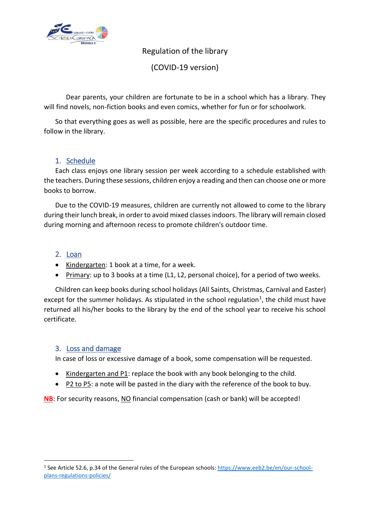

Regulation of the library

(COVID-19 version)

Dear parents, your children are fortunate to be in a school which has a library. They will find novels, non-fiction books and even comics, whether for fun or for schoolwork.

So that everything goes as well as possible, here are the specific procedures and rules to follow in the library.

## 1. Schedule

Each class enjoys one library session per week according to a schedule established with the teachers. During these sessions, children enjoy a reading and then can choose one or more books to borrow.

Due to the COVID-19 measures, children are currently not allowed to come to the library during their lunch break, in order to avoid mixed classes indoors. The library will remain closed during morning and afternoon recess to promote children's outdoor time.

## 2. Loan

**.** 

- Kindergarten: 1 book at a time, for a week.
- Primary: up to 3 books at a time (L1, L2, personal choice), for a period of two weeks.

Children can keep books during school holidays (All Saints, Christmas, Carnival and Easter) except for the summer holidays. As stipulated in the school regulation<sup>1</sup>, the child must have returned all his/her books to the library by the end of the school year to receive his school certificate.

## 3. Loss and damage

In case of loss or excessive damage of a book, some compensation will be requested.

- Kindergarten and P1: replace the book with any book belonging to the child.
- P2 to P5: a note will be pasted in the diary with the reference of the book to buy.

**NB**: For security reasons, NO financial compensation (cash or bank) will be accepted!

<sup>&</sup>lt;sup>1</sup> See Article 52.6, p.34 of the General rules of the European schools[: https://www.eeb2.be/en/our-school](https://www.eeb2.be/en/our-school-plans-regulations-policies/)[plans-regulations-policies/](https://www.eeb2.be/en/our-school-plans-regulations-policies/)